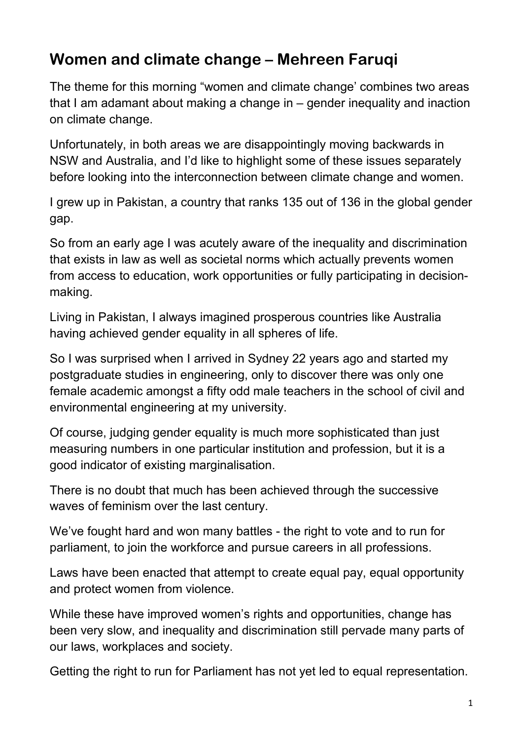## **Women and climate change – Mehreen Faruqi**

The theme for this morning "women and climate change' combines two areas that I am adamant about making a change in – gender inequality and inaction on climate change.

Unfortunately, in both areas we are disappointingly moving backwards in NSW and Australia, and I'd like to highlight some of these issues separately before looking into the interconnection between climate change and women.

I grew up in Pakistan, a country that ranks 135 out of 136 in the global gender gap.

So from an early age I was acutely aware of the inequality and discrimination that exists in law as well as societal norms which actually prevents women from access to education, work opportunities or fully participating in decisionmaking.

Living in Pakistan, I always imagined prosperous countries like Australia having achieved gender equality in all spheres of life.

So I was surprised when I arrived in Sydney 22 years ago and started my postgraduate studies in engineering, only to discover there was only one female academic amongst a fifty odd male teachers in the school of civil and environmental engineering at my university.

Of course, judging gender equality is much more sophisticated than just measuring numbers in one particular institution and profession, but it is a good indicator of existing marginalisation.

There is no doubt that much has been achieved through the successive waves of feminism over the last century.

We've fought hard and won many battles - the right to vote and to run for parliament, to join the workforce and pursue careers in all professions.

Laws have been enacted that attempt to create equal pay, equal opportunity and protect women from violence.

While these have improved women's rights and opportunities, change has been very slow, and inequality and discrimination still pervade many parts of our laws, workplaces and society.

Getting the right to run for Parliament has not yet led to equal representation.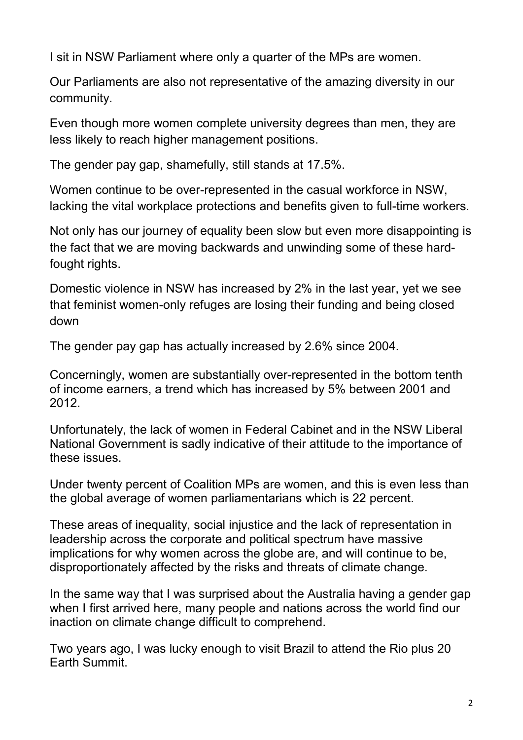I sit in NSW Parliament where only a quarter of the MPs are women.

Our Parliaments are also not representative of the amazing diversity in our community.

Even though more women complete university degrees than men, they are less likely to reach higher management positions.

The gender pay gap, shamefully, still stands at 17.5%.

Women continue to be over-represented in the casual workforce in NSW, lacking the vital workplace protections and benefits given to full-time workers.

Not only has our journey of equality been slow but even more disappointing is the fact that we are moving backwards and unwinding some of these hardfought rights.

Domestic violence in NSW has increased by 2% in the last year, yet we see that feminist women-only refuges are losing their funding and being closed down

The gender pay gap has actually increased by 2.6% since 2004.

Concerningly, women are substantially over-represented in the bottom tenth of income earners, a trend which has increased by 5% between 2001 and 2012.

Unfortunately, the lack of women in Federal Cabinet and in the NSW Liberal National Government is sadly indicative of their attitude to the importance of these issues.

Under twenty percent of Coalition MPs are women, and this is even less than the global average of women parliamentarians which is 22 percent.

These areas of inequality, social injustice and the lack of representation in leadership across the corporate and political spectrum have massive implications for why women across the globe are, and will continue to be, disproportionately affected by the risks and threats of climate change.

In the same way that I was surprised about the Australia having a gender gap when I first arrived here, many people and nations across the world find our inaction on climate change difficult to comprehend.

Two years ago, I was lucky enough to visit Brazil to attend the Rio plus 20 Earth Summit.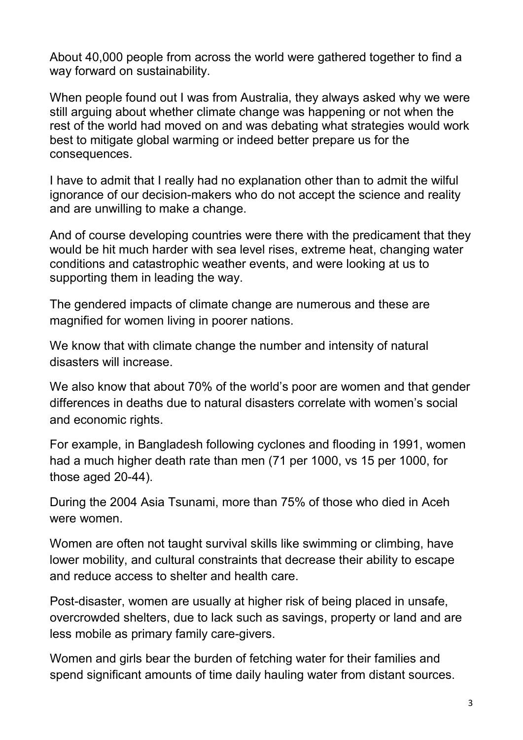About 40,000 people from across the world were gathered together to find a way forward on sustainability.

When people found out I was from Australia, they always asked why we were still arguing about whether climate change was happening or not when the rest of the world had moved on and was debating what strategies would work best to mitigate global warming or indeed better prepare us for the consequences.

I have to admit that I really had no explanation other than to admit the wilful ignorance of our decision-makers who do not accept the science and reality and are unwilling to make a change.

And of course developing countries were there with the predicament that they would be hit much harder with sea level rises, extreme heat, changing water conditions and catastrophic weather events, and were looking at us to supporting them in leading the way.

The gendered impacts of climate change are numerous and these are magnified for women living in poorer nations.

We know that with climate change the number and intensity of natural disasters will increase.

We also know that about 70% of the world's poor are women and that gender differences in deaths due to natural disasters correlate with women's social and economic rights.

For example, in Bangladesh following cyclones and flooding in 1991, women had a much higher death rate than men (71 per 1000, vs 15 per 1000, for those aged 20-44).

During the 2004 Asia Tsunami, more than 75% of those who died in Aceh were women.

Women are often not taught survival skills like swimming or climbing, have lower mobility, and cultural constraints that decrease their ability to escape and reduce access to shelter and health care.

Post-disaster, women are usually at higher risk of being placed in unsafe, overcrowded shelters, due to lack such as savings, property or land and are less mobile as primary family care-givers.

Women and girls bear the burden of fetching water for their families and spend significant amounts of time daily hauling water from distant sources.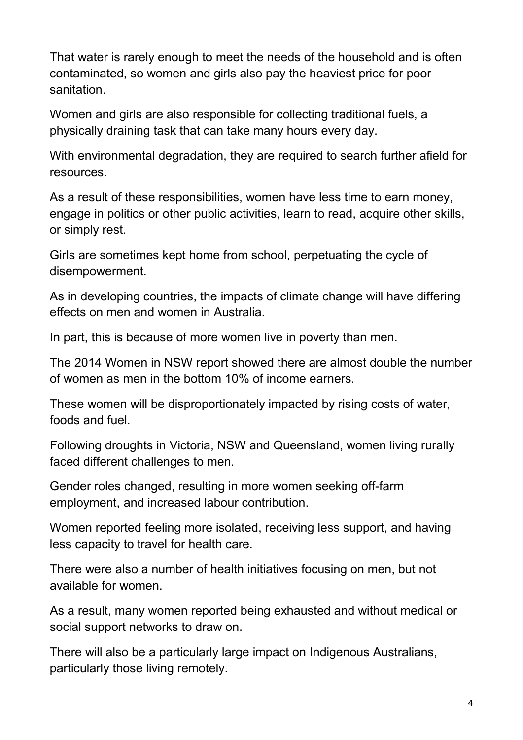That water is rarely enough to meet the needs of the household and is often contaminated, so women and girls also pay the heaviest price for poor sanitation.

Women and girls are also responsible for collecting traditional fuels, a physically draining task that can take many hours every day.

With environmental degradation, they are required to search further afield for resources.

As a result of these responsibilities, women have less time to earn money, engage in politics or other public activities, learn to read, acquire other skills, or simply rest.

Girls are sometimes kept home from school, perpetuating the cycle of disempowerment.

As in developing countries, the impacts of climate change will have differing effects on men and women in Australia.

In part, this is because of more women live in poverty than men.

The 2014 Women in NSW report showed there are almost double the number of women as men in the bottom 10% of income earners.

These women will be disproportionately impacted by rising costs of water, foods and fuel.

Following droughts in Victoria, NSW and Queensland, women living rurally faced different challenges to men.

Gender roles changed, resulting in more women seeking off-farm employment, and increased labour contribution.

Women reported feeling more isolated, receiving less support, and having less capacity to travel for health care.

There were also a number of health initiatives focusing on men, but not available for women.

As a result, many women reported being exhausted and without medical or social support networks to draw on.

There will also be a particularly large impact on Indigenous Australians, particularly those living remotely.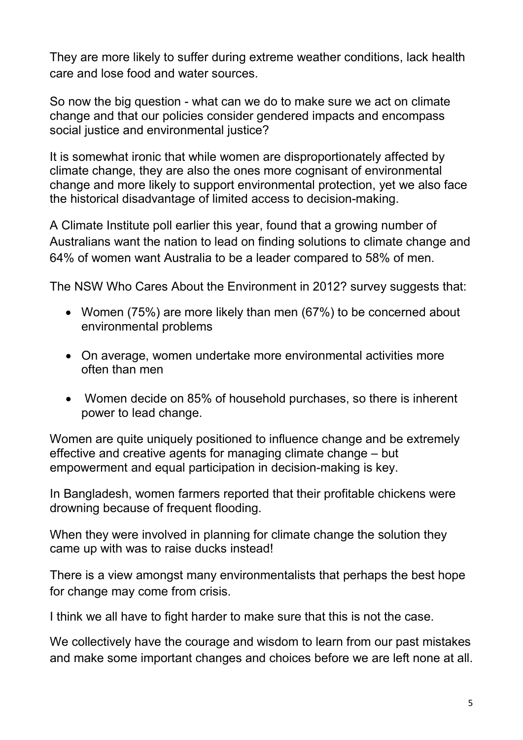They are more likely to suffer during extreme weather conditions, lack health care and lose food and water sources.

So now the big question - what can we do to make sure we act on climate change and that our policies consider gendered impacts and encompass social justice and environmental justice?

It is somewhat ironic that while women are disproportionately affected by climate change, they are also the ones more cognisant of environmental change and more likely to support environmental protection, yet we also face the historical disadvantage of limited access to decision-making.

A Climate Institute poll earlier this year, found that a growing number of Australians want the nation to lead on finding solutions to climate change and 64% of women want Australia to be a leader compared to 58% of men.

The NSW Who Cares About the Environment in 2012? survey suggests that:

- Women (75%) are more likely than men (67%) to be concerned about environmental problems
- On average, women undertake more environmental activities more often than men
- Women decide on 85% of household purchases, so there is inherent power to lead change.

Women are quite uniquely positioned to influence change and be extremely effective and creative agents for managing climate change – but empowerment and equal participation in decision-making is key.

In Bangladesh, women farmers reported that their profitable chickens were drowning because of frequent flooding.

When they were involved in planning for climate change the solution they came up with was to raise ducks instead!

There is a view amongst many environmentalists that perhaps the best hope for change may come from crisis.

I think we all have to fight harder to make sure that this is not the case.

We collectively have the courage and wisdom to learn from our past mistakes and make some important changes and choices before we are left none at all.